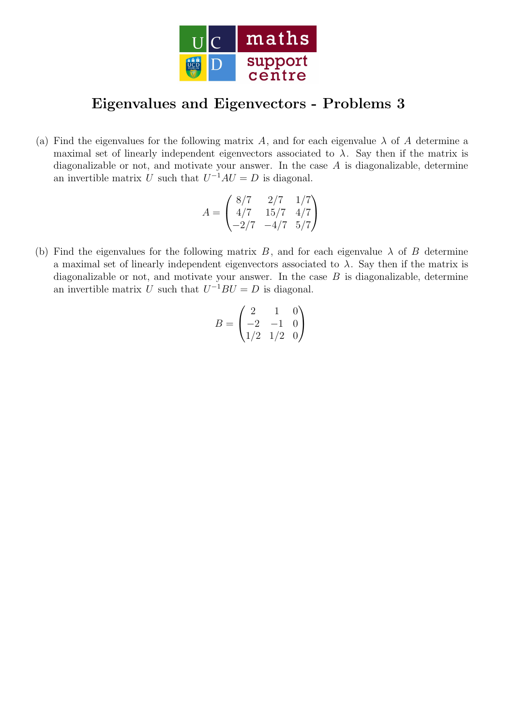

## Eigenvalues and Eigenvectors - Problems 3

(a) Find the eigenvalues for the following matrix A, and for each eigenvalue  $\lambda$  of A determine a maximal set of linearly independent eigenvectors associated to  $\lambda$ . Say then if the matrix is diagonalizable or not, and motivate your answer. In the case  $A$  is diagonalizable, determine an invertible matrix U such that  $U^{-1}AU = D$  is diagonal.

$$
A = \begin{pmatrix} 8/7 & 2/7 & 1/7 \\ 4/7 & 15/7 & 4/7 \\ -2/7 & -4/7 & 5/7 \end{pmatrix}
$$

(b) Find the eigenvalues for the following matrix B, and for each eigenvalue  $\lambda$  of B determine a maximal set of linearly independent eigenvectors associated to  $\lambda$ . Say then if the matrix is diagonalizable or not, and motivate your answer. In the case  $B$  is diagonalizable, determine an invertible matrix U such that  $U^{-1}BU = D$  is diagonal.

$$
B = \begin{pmatrix} 2 & 1 & 0 \\ -2 & -1 & 0 \\ 1/2 & 1/2 & 0 \end{pmatrix}
$$